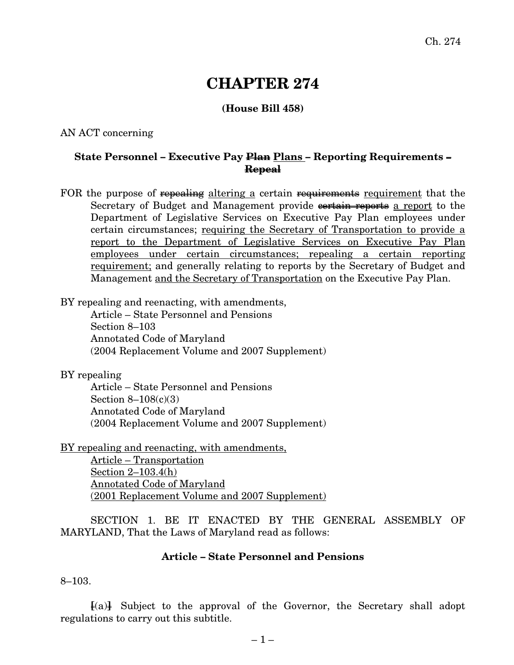# **CHAPTER 274**

## **(House Bill 458)**

#### AN ACT concerning

### **State Personnel – Executive Pay Plan Plans – Reporting Requirements – Repeal**

FOR the purpose of repealing altering a certain requirements requirement that the Secretary of Budget and Management provide contrain reports a report to the Department of Legislative Services on Executive Pay Plan employees under certain circumstances; requiring the Secretary of Transportation to provide a report to the Department of Legislative Services on Executive Pay Plan employees under certain circumstances; repealing a certain reporting requirement; and generally relating to reports by the Secretary of Budget and Management and the Secretary of Transportation on the Executive Pay Plan.

BY repealing and reenacting, with amendments,

Article – State Personnel and Pensions Section 8–103 Annotated Code of Maryland (2004 Replacement Volume and 2007 Supplement)

BY repealing

Article – State Personnel and Pensions Section 8–108(c)(3) Annotated Code of Maryland (2004 Replacement Volume and 2007 Supplement)

BY repealing and reenacting, with amendments,

Article – Transportation Section 2–103.4(h) Annotated Code of Maryland (2001 Replacement Volume and 2007 Supplement)

SECTION 1. BE IT ENACTED BY THE GENERAL ASSEMBLY OF MARYLAND, That the Laws of Maryland read as follows:

#### **Article – State Personnel and Pensions**

8–103.

**[**(a)**]** Subject to the approval of the Governor, the Secretary shall adopt regulations to carry out this subtitle.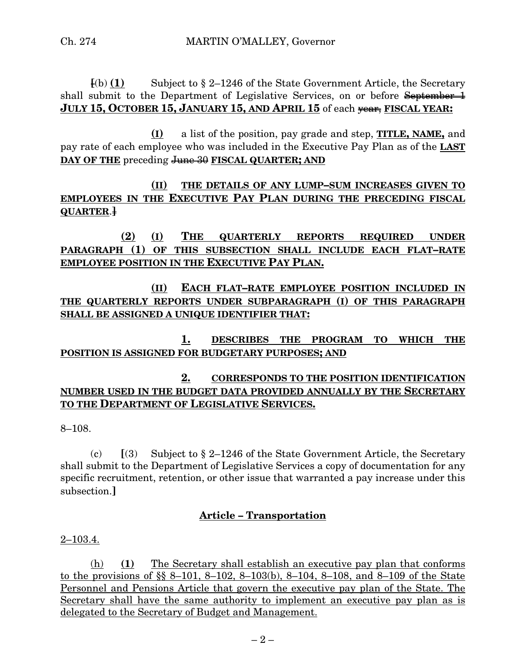$\mathbf{F}(\mathbf{b})$  **(1)** Subject to § 2–1246 of the State Government Article, the Secretary shall submit to the Department of Legislative Services, on or before September 1 **JULY 15, OCTOBER 15, JANUARY 15, AND APRIL 15** of each year, **FISCAL YEAR:**

**(I)** a list of the position, pay grade and step, **TITLE, NAME,** and pay rate of each employee who was included in the Executive Pay Plan as of the **LAST DAY OF THE** preceding June 30 **FISCAL QUARTER; AND**

**(II) THE DETAILS OF ANY LUMP–SUM INCREASES GIVEN TO EMPLOYEES IN THE EXECUTIVE PAY PLAN DURING THE PRECEDING FISCAL QUARTER**.**]**

**(2) (I) THE QUARTERLY REPORTS REQUIRED UNDER PARAGRAPH (1) OF THIS SUBSECTION SHALL INCLUDE EACH FLAT–RATE EMPLOYEE POSITION IN THE EXECUTIVE PAY PLAN.**

**(II) EACH FLAT–RATE EMPLOYEE POSITION INCLUDED IN THE QUARTERLY REPORTS UNDER SUBPARAGRAPH (I) OF THIS PARAGRAPH SHALL BE ASSIGNED A UNIQUE IDENTIFIER THAT:**

**1. DESCRIBES THE PROGRAM TO WHICH THE POSITION IS ASSIGNED FOR BUDGETARY PURPOSES; AND**

# **2. CORRESPONDS TO THE POSITION IDENTIFICATION NUMBER USED IN THE BUDGET DATA PROVIDED ANNUALLY BY THE SECRETARY TO THE DEPARTMENT OF LEGISLATIVE SERVICES.**

8–108.

(c) **[**(3) Subject to § 2–1246 of the State Government Article, the Secretary shall submit to the Department of Legislative Services a copy of documentation for any specific recruitment, retention, or other issue that warranted a pay increase under this subsection.**]**

## **Article – Transportation**

2–103.4.

(h) **(1)** The Secretary shall establish an executive pay plan that conforms to the provisions of §§ 8–101, 8–102, 8–103(b), 8–104, 8–108, and 8–109 of the State Personnel and Pensions Article that govern the executive pay plan of the State. The Secretary shall have the same authority to implement an executive pay plan as is delegated to the Secretary of Budget and Management.